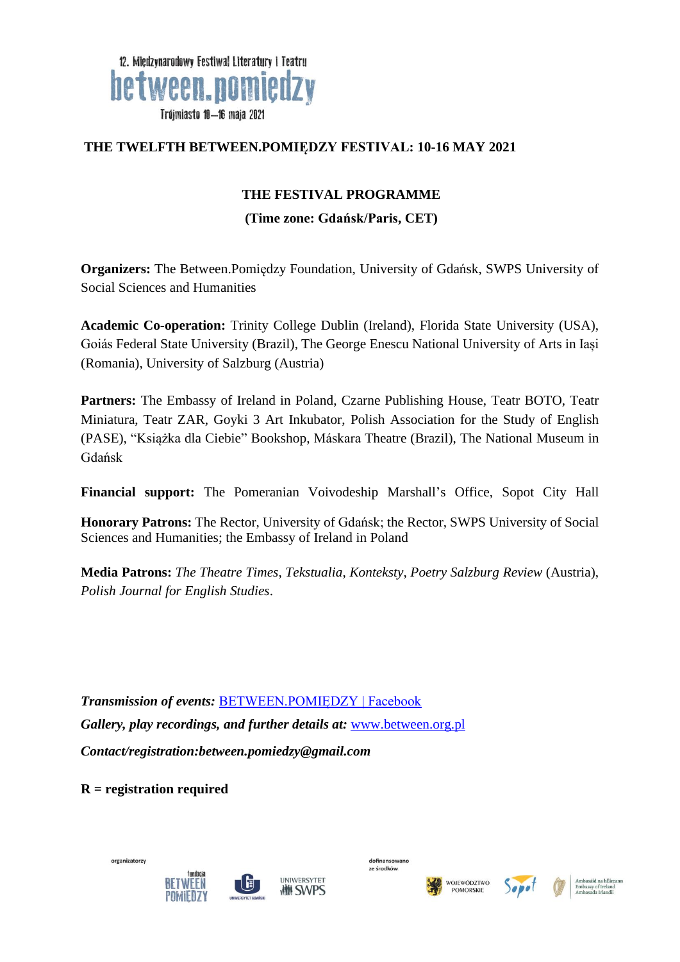

#### **THE TWELFTH BETWEEN.POMIĘDZY FESTIVAL: 10-16 MAY 2021**

#### **THE FESTIVAL PROGRAMME**

#### **(Time zone: Gdańsk/Paris, CET)**

**Organizers:** The Between.Pomiędzy Foundation, University of Gdańsk, SWPS University of Social Sciences and Humanities

**Academic Co-operation:** Trinity College Dublin (Ireland), Florida State University (USA), Goiás Federal State University (Brazil), The George Enescu National University of Arts in Iași (Romania), University of Salzburg (Austria)

**Partners:** The Embassy of Ireland in Poland, Czarne Publishing House, Teatr BOTO, Teatr Miniatura, Teatr ZAR, Goyki 3 Art Inkubator, Polish Association for the Study of English (PASE), "Książka dla Ciebie" Bookshop, Máskara Theatre (Brazil), The National Museum in Gdańsk

**Financial support:** The Pomeranian Voivodeship Marshall's Office, Sopot City Hall

**Honorary Patrons:** The Rector, University of Gdańsk; the Rector, SWPS University of Social Sciences and Humanities; the Embassy of Ireland in Poland

**Media Patrons:** *The Theatre Times*, *Tekstualia*, *Konteksty*, *Poetry Salzburg Review* (Austria), *Polish Journal for English Studies*.

*Transmission of events:* [BETWEEN.POMIĘDZY | Facebook](https://www.facebook.com/BETWEENPOMIEDZY) *Gallery, play recordings, and further details at:* [www.between.org.pl](http://www.between.org.pl/) *Contact/registration:between.pomiedzy@gmail.com*

**R = registration required**











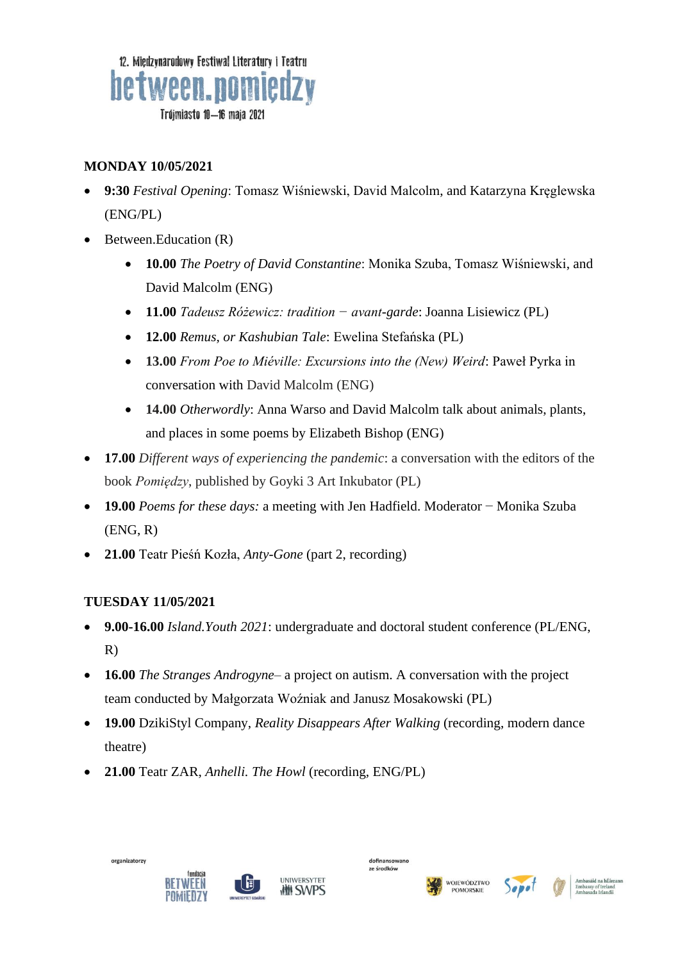

# **MONDAY 10/05/2021**

- **9:30** *Festival Opening*: Tomasz Wiśniewski, David Malcolm, and Katarzyna Kręglewska (ENG/PL)
- Between.Education (R)
	- **10.00** *The Poetry of David Constantine*: Monika Szuba, Tomasz Wiśniewski, and David Malcolm (ENG)
	- **11.00** *Tadeusz Różewicz: tradition − avant-garde*: Joanna Lisiewicz (PL)
	- **12.00** *Remus, or Kashubian Tale*: Ewelina Stefańska (PL)
	- **13.00** *From Poe to Miéville: Excursions into the (New) Weird*: Paweł Pyrka in conversation with David Malcolm (ENG)
	- **14.00** *Otherwordly*: Anna Warso and David Malcolm talk about animals, plants, and places in some poems by Elizabeth Bishop (ENG)
- **17.00** *Different ways of experiencing the pandemic*: a conversation with the editors of the book *Pomiędzy*, published by Goyki 3 Art Inkubator (PL)
- **19.00** *Poems for these days:* a meeting with Jen Hadfield. Moderator − Monika Szuba (ENG, R)
- **21.00** Teatr Pieśń Kozła, *Anty-Gone* (part 2, recording)

## **TUESDAY 11/05/2021**

- **9.00-16.00** *Island.Youth 2021*: undergraduate and doctoral student conference (PL/ENG, R)
- **16.00** *The Stranges Androgyne–* a project on autism. A conversation with the project team conducted by Małgorzata Woźniak and Janusz Mosakowski (PL)
- **19.00** DzikiStyl Company, *Reality Disappears After Walking* (recording, modern dance theatre)
- **21.00** Teatr ZAR, *Anhelli. The Howl* (recording, ENG/PL)









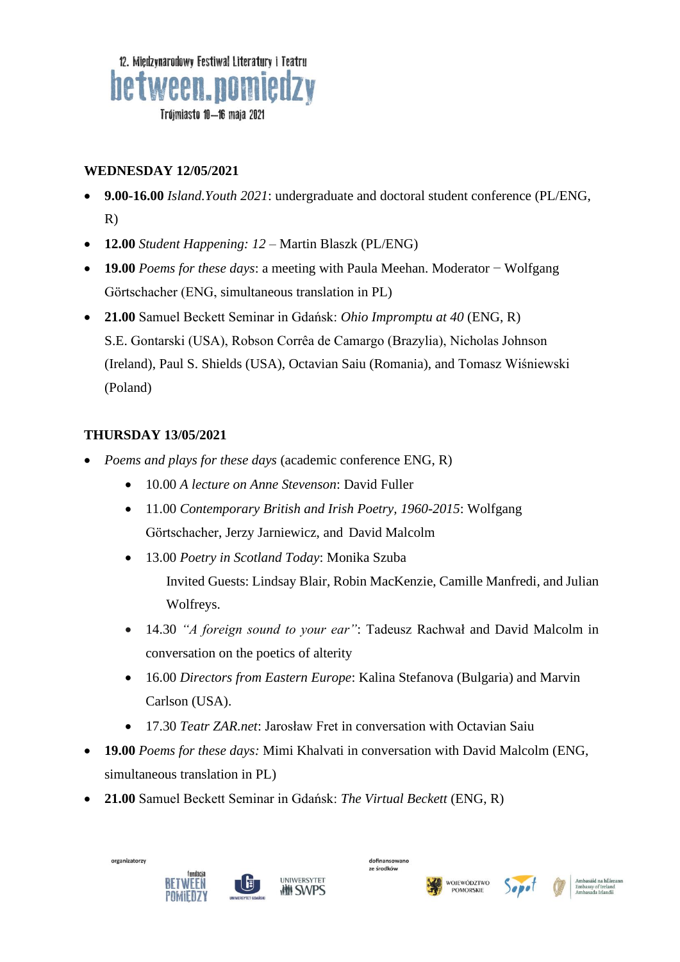

#### **WEDNESDAY 12/05/2021**

- **9.00-16.00** *Island.Youth 2021*: undergraduate and doctoral student conference (PL/ENG, R)
- **12.00** *Student Happening: 12* Martin Blaszk (PL/ENG)
- **19.00** *Poems for these days*: a meeting with Paula Meehan. Moderator − Wolfgang Görtschacher (ENG, simultaneous translation in PL)
- **21.00** Samuel Beckett Seminar in Gdańsk: *Ohio Impromptu at 40* (ENG, R) S.E. Gontarski (USA), Robson Corrêa de Camargo (Brazylia), Nicholas Johnson (Ireland), Paul S. Shields (USA), Octavian Saiu (Romania), and Tomasz Wiśniewski (Poland)

# **THURSDAY 13/05/2021**

- *Poems and plays for these days* (academic conference ENG, R)
	- 10.00 *A lecture on Anne Stevenson*: David Fuller
	- 11.00 *Contemporary British and Irish Poetry, 1960-2015*: Wolfgang Görtschacher, Jerzy Jarniewicz, and David Malcolm
	- 13.00 *Poetry in Scotland Today*: Monika Szuba Invited Guests: Lindsay Blair, Robin MacKenzie, Camille Manfredi, and Julian Wolfreys.
	- 14.30 *"A foreign sound to your ear"*: Tadeusz Rachwał and David Malcolm in conversation on the poetics of alterity
	- 16.00 *Directors from Eastern Europe*: Kalina Stefanova (Bulgaria) and Marvin Carlson (USA).
	- 17.30 *Teatr ZAR.net*: Jarosław Fret in conversation with Octavian Saiu
- **19.00** *Poems for these days:* Mimi Khalvati in conversation with David Malcolm (ENG, simultaneous translation in PL)
- **21.00** Samuel Beckett Seminar in Gdańsk: *The Virtual Beckett* (ENG, R)









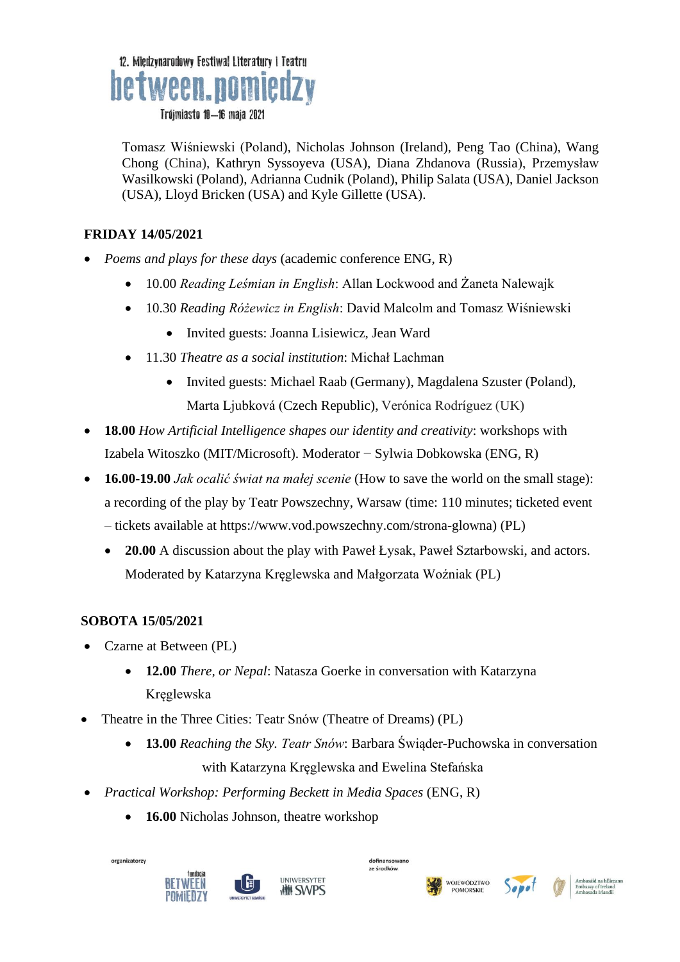

Tomasz Wiśniewski (Poland), Nicholas Johnson (Ireland), Peng Tao (China), Wang Chong (China), Kathryn Syssoyeva (USA), Diana Zhdanova (Russia), Przemysław Wasilkowski (Poland), Adrianna Cudnik (Poland), Philip Salata (USA), Daniel Jackson (USA), Lloyd Bricken (USA) and Kyle Gillette (USA).

## **FRIDAY 14/05/2021**

- *Poems and plays for these days* (academic conference ENG, R)
	- 10.00 *Reading Leśmian in English*: Allan Lockwood and Żaneta Nalewajk
	- 10.30 *Reading Różewicz in English*: David Malcolm and Tomasz Wiśniewski
		- Invited guests: Joanna Lisiewicz, Jean Ward
	- 11.30 *Theatre as a social institution*: Michał Lachman
		- Invited guests: Michael Raab (Germany), Magdalena Szuster (Poland), Marta Ljubková (Czech Republic), Verónica Rodríguez (UK)
- **18.00** *How Artificial Intelligence shapes our identity and creativity*: workshops with Izabela Witoszko (MIT/Microsoft). Moderator − Sylwia Dobkowska (ENG, R)
- **16.00-19.00** *Jak ocalić świat na małej scenie* (How to save the world on the small stage): a recording of the play by Teatr Powszechny, Warsaw (time: 110 minutes; ticketed event – tickets available at https://www.vod.powszechny.com/strona-glowna) (PL)
	- **20.00** A discussion about the play with Paweł Łysak, Paweł Sztarbowski, and actors. Moderated by Katarzyna Kręglewska and Małgorzata Woźniak (PL)

## **SOBOTA 15/05/2021**

- Czarne at Between (PL)
	- **12.00** *There, or Nepal*: Natasza Goerke in conversation with Katarzyna Kręglewska
- Theatre in the Three Cities: Teatr Snów (Theatre of Dreams) (PL)
	- **13.00** *Reaching the Sky. Teatr Snów*: Barbara Świąder-Puchowska in conversation with Katarzyna Kręglewska and Ewelina Stefańska
- *Practical Workshop: Performing Beckett in Media Spaces* (ENG, R)
	- 16.00 Nicholas Johnson, theatre workshop